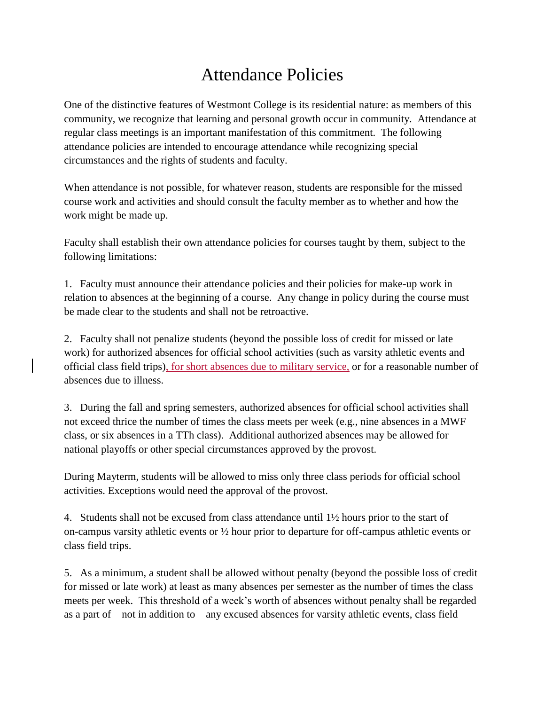## Attendance Policies

One of the distinctive features of Westmont College is its residential nature: as members of this community, we recognize that learning and personal growth occur in community. Attendance at regular class meetings is an important manifestation of this commitment. The following attendance policies are intended to encourage attendance while recognizing special circumstances and the rights of students and faculty.

When attendance is not possible, for whatever reason, students are responsible for the missed course work and activities and should consult the faculty member as to whether and how the work might be made up.

Faculty shall establish their own attendance policies for courses taught by them, subject to the following limitations:

1. Faculty must announce their attendance policies and their policies for make-up work in relation to absences at the beginning of a course. Any change in policy during the course must be made clear to the students and shall not be retroactive.

2. Faculty shall not penalize students (beyond the possible loss of credit for missed or late work) for authorized absences for official school activities (such as varsity athletic events and official class field trips), for short absences due to military service, or for a reasonable number of absences due to illness.

3. During the fall and spring semesters, authorized absences for official school activities shall not exceed thrice the number of times the class meets per week (e.g., nine absences in a MWF class, or six absences in a TTh class). Additional authorized absences may be allowed for national playoffs or other special circumstances approved by the provost.

During Mayterm, students will be allowed to miss only three class periods for official school activities. Exceptions would need the approval of the provost.

4. Students shall not be excused from class attendance until 1½ hours prior to the start of on-campus varsity athletic events or ½ hour prior to departure for off-campus athletic events or class field trips.

5. As a minimum, a student shall be allowed without penalty (beyond the possible loss of credit for missed or late work) at least as many absences per semester as the number of times the class meets per week. This threshold of a week's worth of absences without penalty shall be regarded as a part of—not in addition to—any excused absences for varsity athletic events, class field